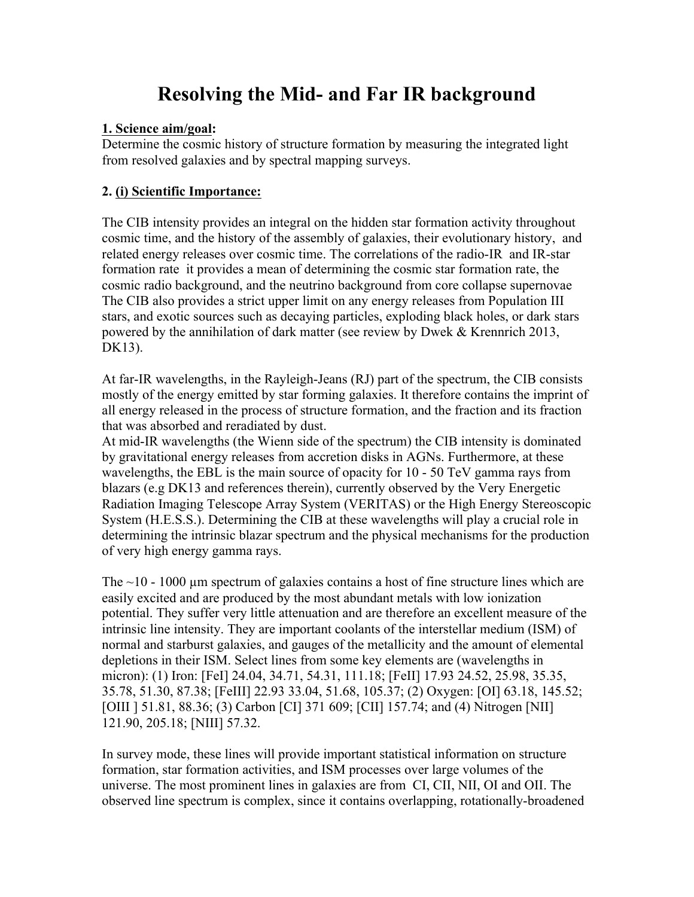# **Resolving the Mid- and Far IR background**

#### **1. Science aim/goal:**

Determine the cosmic history of structure formation by measuring the integrated light from resolved galaxies and by spectral mapping surveys.

#### **2. (i) Scientific Importance:**

The CIB intensity provides an integral on the hidden star formation activity throughout cosmic time, and the history of the assembly of galaxies, their evolutionary history, and related energy releases over cosmic time. The correlations of the radio-IR and IR-star formation rate it provides a mean of determining the cosmic star formation rate, the cosmic radio background, and the neutrino background from core collapse supernovae The CIB also provides a strict upper limit on any energy releases from Population III stars, and exotic sources such as decaying particles, exploding black holes, or dark stars powered by the annihilation of dark matter (see review by Dwek & Krennrich 2013, DK13).

At far-IR wavelengths, in the Rayleigh-Jeans (RJ) part of the spectrum, the CIB consists mostly of the energy emitted by star forming galaxies. It therefore contains the imprint of all energy released in the process of structure formation, and the fraction and its fraction that was absorbed and reradiated by dust.

At mid-IR wavelengths (the Wienn side of the spectrum) the CIB intensity is dominated by gravitational energy releases from accretion disks in AGNs. Furthermore, at these wavelengths, the EBL is the main source of opacity for 10 - 50 TeV gamma rays from blazars (e.g DK13 and references therein), currently observed by the Very Energetic Radiation Imaging Telescope Array System (VERITAS) or the High Energy Stereoscopic System (H.E.S.S.). Determining the CIB at these wavelengths will play a crucial role in determining the intrinsic blazar spectrum and the physical mechanisms for the production of very high energy gamma rays.

The  $\sim$ 10 - 1000 µm spectrum of galaxies contains a host of fine structure lines which are easily excited and are produced by the most abundant metals with low ionization potential. They suffer very little attenuation and are therefore an excellent measure of the intrinsic line intensity. They are important coolants of the interstellar medium (ISM) of normal and starburst galaxies, and gauges of the metallicity and the amount of elemental depletions in their ISM. Select lines from some key elements are (wavelengths in micron): (1) Iron: [FeI] 24.04, 34.71, 54.31, 111.18; [FeII] 17.93 24.52, 25.98, 35.35, 35.78, 51.30, 87.38; [FeIII] 22.93 33.04, 51.68, 105.37; (2) Oxygen: [OI] 63.18, 145.52; [OIII ] 51.81, 88.36; (3) Carbon [CI] 371 609; [CII] 157.74; and (4) Nitrogen [NII] 121.90, 205.18; [NIII] 57.32.

In survey mode, these lines will provide important statistical information on structure formation, star formation activities, and ISM processes over large volumes of the universe. The most prominent lines in galaxies are from CI, CII, NII, OI and OII. The observed line spectrum is complex, since it contains overlapping, rotationally-broadened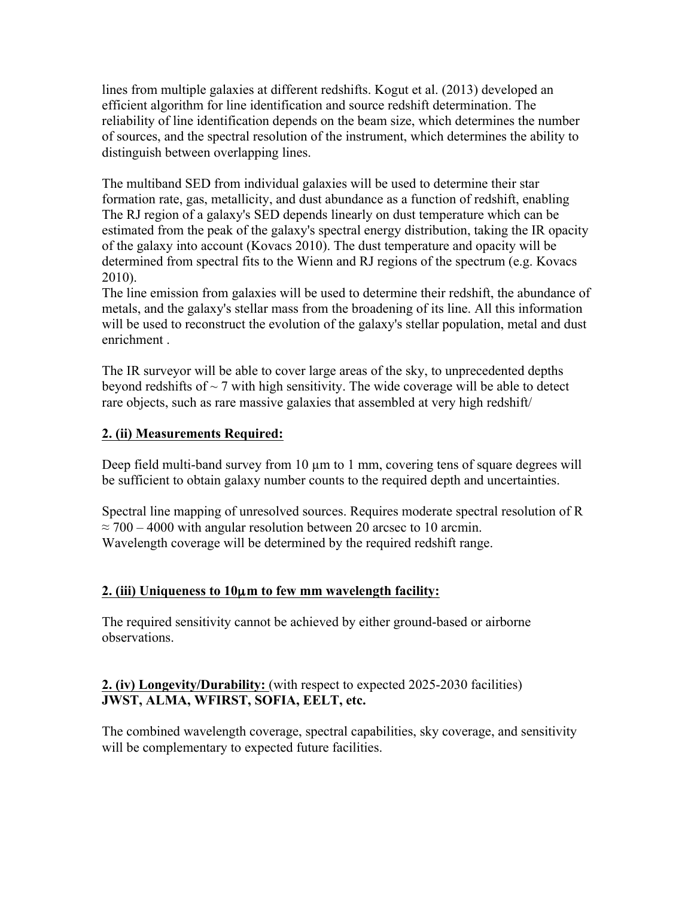lines from multiple galaxies at different redshifts. Kogut et al. (2013) developed an efficient algorithm for line identification and source redshift determination. The reliability of line identification depends on the beam size, which determines the number of sources, and the spectral resolution of the instrument, which determines the ability to distinguish between overlapping lines.

The multiband SED from individual galaxies will be used to determine their star formation rate, gas, metallicity, and dust abundance as a function of redshift, enabling The RJ region of a galaxy's SED depends linearly on dust temperature which can be estimated from the peak of the galaxy's spectral energy distribution, taking the IR opacity of the galaxy into account (Kovacs 2010). The dust temperature and opacity will be determined from spectral fits to the Wienn and RJ regions of the spectrum (e.g. Kovacs 2010).

The line emission from galaxies will be used to determine their redshift, the abundance of metals, and the galaxy's stellar mass from the broadening of its line. All this information will be used to reconstruct the evolution of the galaxy's stellar population, metal and dust enrichment .

The IR surveyor will be able to cover large areas of the sky, to unprecedented depths beyond redshifts of  $\sim$  7 with high sensitivity. The wide coverage will be able to detect rare objects, such as rare massive galaxies that assembled at very high redshift/

## **2. (ii) Measurements Required:**

Deep field multi-band survey from 10  $\mu$ m to 1 mm, covering tens of square degrees will be sufficient to obtain galaxy number counts to the required depth and uncertainties.

Spectral line mapping of unresolved sources. Requires moderate spectral resolution of R  $\approx$  700 – 4000 with angular resolution between 20 arcsec to 10 arcmin. Wavelength coverage will be determined by the required redshift range.

#### **2. (iii) Uniqueness to 10**µ**m to few mm wavelength facility:**

The required sensitivity cannot be achieved by either ground-based or airborne observations.

## **2. (iv) Longevity/Durability:** (with respect to expected 2025-2030 facilities) **JWST, ALMA, WFIRST, SOFIA, EELT, etc.**

The combined wavelength coverage, spectral capabilities, sky coverage, and sensitivity will be complementary to expected future facilities.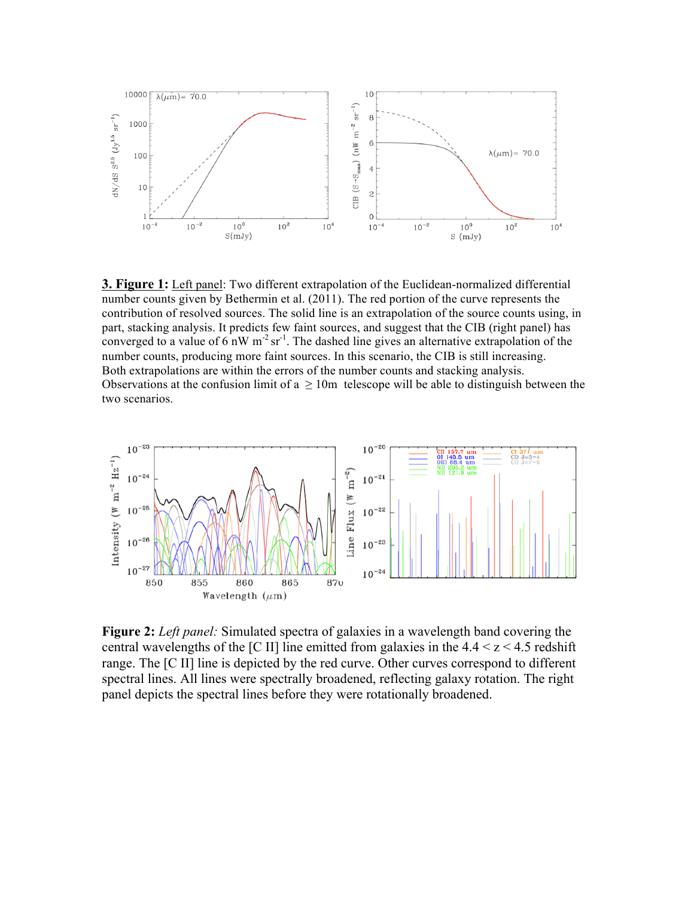

**3. Figure 1:** Left panel: Two different extrapolation of the Euclidean-normalized differential number counts given by Bethermin et al. (2011). The red portion of the curve represents the contribution of resolved sources. The solid line is an extrapolation of the source counts using, in part, stacking analysis. It predicts few faint sources, and suggest that the CIB (right panel) has converged to a value of  $6 \text{ nW m}^{-2} \text{sr}^{-1}$ . The dashed line gives an alternative extrapolation of the number counts, producing more faint sources. In this scenario, the CIB is still increasing. Both extrapolations are within the errors of the number counts and stacking analysis. Observations at the confusion limit of  $a \ge 10m$  telescope will be able to distinguish between the two scenarios.



**Figure 2:** *Left panel:* Simulated spectra of galaxies in a wavelength band covering the central wavelengths of the [C II] line emitted from galaxies in the  $4.4 \le z \le 4.5$  redshift range. The [C II] line is depicted by the red curve. Other curves correspond to different spectral lines. All lines were spectrally broadened, reflecting galaxy rotation. The right panel depicts the spectral lines before they were rotationally broadened.